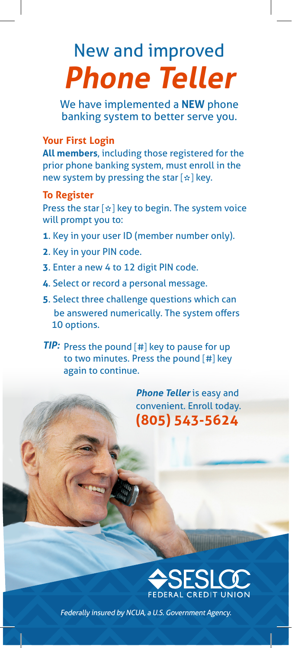# New and improved **Phone Teller**

We have implemented a **NEW** phone banking system to better serve you.

# **Your First Login**

**All members**, including those registered for the prior phone banking system, must enroll in the new system by pressing the star [ **\***] key.

#### **To Register**

Press the star [ **\***] key to begin. The system voice will prompt you to:

- **1**. Key in your user ID (member number only).
- **2**. Key in your PIN code.
- **3**. Enter a new 4 to 12 digit PIN code.
- **4**. Select or record a personal message.
- **5**. Select three challenge questions which can be answered numerically. The system offers 10 options.

**TIP:** Press the pound [#] key to pause for up to two minutes. Press the pound [#] key again to continue.

> **Phone Teller** is easy and convenient. Enroll today. **(805) 543-5624**



Federally insured by NCUA, a U.S. Government Agency.